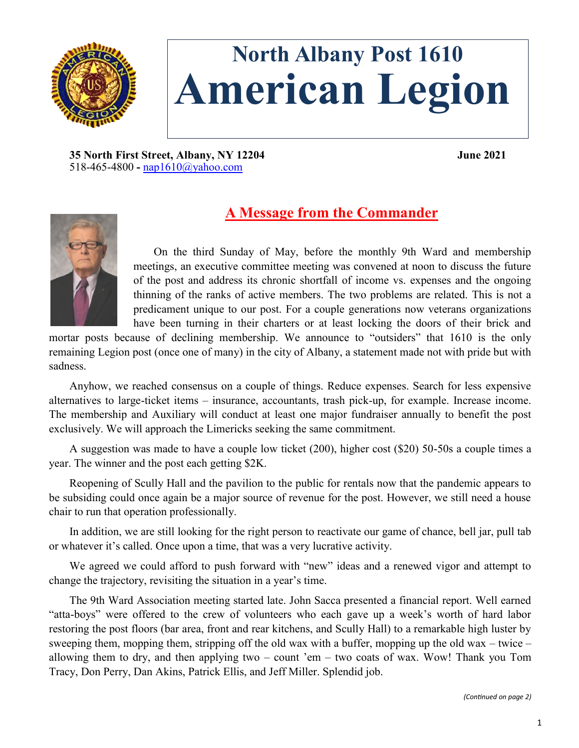

# **North Albany Post 1610 American Legion**

**35 North First Street, Albany, NY 12204 June 2021** 518-465-4800 **-** [nap1610@yahoo.com](mailto:nap1610@yahoo.com)



## **A Message from the Commander**

On the third Sunday of May, before the monthly 9th Ward and membership meetings, an executive committee meeting was convened at noon to discuss the future of the post and address its chronic shortfall of income vs. expenses and the ongoing thinning of the ranks of active members. The two problems are related. This is not a predicament unique to our post. For a couple generations now veterans organizations have been turning in their charters or at least locking the doors of their brick and

mortar posts because of declining membership. We announce to "outsiders" that 1610 is the only remaining Legion post (once one of many) in the city of Albany, a statement made not with pride but with sadness.

Anyhow, we reached consensus on a couple of things. Reduce expenses. Search for less expensive alternatives to large-ticket items – insurance, accountants, trash pick-up, for example. Increase income. The membership and Auxiliary will conduct at least one major fundraiser annually to benefit the post exclusively. We will approach the Limericks seeking the same commitment.

A suggestion was made to have a couple low ticket (200), higher cost (\$20) 50-50s a couple times a year. The winner and the post each getting \$2K.

Reopening of Scully Hall and the pavilion to the public for rentals now that the pandemic appears to be subsiding could once again be a major source of revenue for the post. However, we still need a house chair to run that operation professionally.

In addition, we are still looking for the right person to reactivate our game of chance, bell jar, pull tab or whatever it's called. Once upon a time, that was a very lucrative activity.

We agreed we could afford to push forward with "new" ideas and a renewed vigor and attempt to change the trajectory, revisiting the situation in a year's time.

The 9th Ward Association meeting started late. John Sacca presented a financial report. Well earned "atta-boys" were offered to the crew of volunteers who each gave up a week's worth of hard labor restoring the post floors (bar area, front and rear kitchens, and Scully Hall) to a remarkable high luster by sweeping them, mopping them, stripping off the old wax with a buffer, mopping up the old wax – twice – allowing them to dry, and then applying two – count 'em – two coats of wax. Wow! Thank you Tom Tracy, Don Perry, Dan Akins, Patrick Ellis, and Jeff Miller. Splendid job.

*(Continued on page 2)*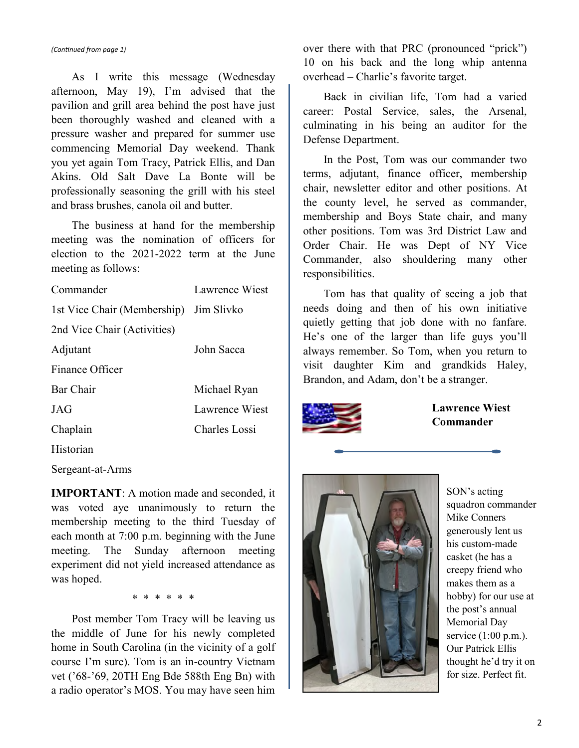*(Continued from page 1)*

As I write this message (Wednesday afternoon, May 19), I'm advised that the pavilion and grill area behind the post have just been thoroughly washed and cleaned with a pressure washer and prepared for summer use commencing Memorial Day weekend. Thank you yet again Tom Tracy, Patrick Ellis, and Dan Akins. Old Salt Dave La Bonte will be professionally seasoning the grill with his steel and brass brushes, canola oil and butter.

The business at hand for the membership meeting was the nomination of officers for election to the 2021-2022 term at the June meeting as follows:

| Commander                   | <b>Lawrence Wiest</b> |
|-----------------------------|-----------------------|
| 1st Vice Chair (Membership) | Jim Slivko            |
| 2nd Vice Chair (Activities) |                       |
| Adjutant                    | John Sacca            |
| Finance Officer             |                       |
| Bar Chair                   | Michael Ryan          |
| JAG                         | <b>Lawrence Wiest</b> |
| Chaplain                    | Charles Lossi         |
| Historian                   |                       |

Sergeant-at-Arms

**IMPORTANT**: A motion made and seconded, it was voted aye unanimously to return the membership meeting to the third Tuesday of each month at 7:00 p.m. beginning with the June meeting. The Sunday afternoon meeting experiment did not yield increased attendance as was hoped.

\* \* \* \* \* \*

Post member Tom Tracy will be leaving us the middle of June for his newly completed home in South Carolina (in the vicinity of a golf course I'm sure). Tom is an in-country Vietnam vet ('68-'69, 20TH Eng Bde 588th Eng Bn) with a radio operator's MOS. You may have seen him

over there with that PRC (pronounced "prick") 10 on his back and the long whip antenna overhead – Charlie's favorite target.

Back in civilian life, Tom had a varied career: Postal Service, sales, the Arsenal, culminating in his being an auditor for the Defense Department.

In the Post, Tom was our commander two terms, adjutant, finance officer, membership chair, newsletter editor and other positions. At the county level, he served as commander, membership and Boys State chair, and many other positions. Tom was 3rd District Law and Order Chair. He was Dept of NY Vice Commander, also shouldering many other responsibilities.

Tom has that quality of seeing a job that needs doing and then of his own initiative quietly getting that job done with no fanfare. He's one of the larger than life guys you'll always remember. So Tom, when you return to visit daughter Kim and grandkids Haley, Brandon, and Adam, don't be a stranger.



**Lawrence Wiest Commander**



SON's acting squadron commander Mike Conners generously lent us his custom-made casket (he has a creepy friend who makes them as a hobby) for our use at the post's annual Memorial Day service (1:00 p.m.). Our Patrick Ellis thought he'd try it on for size. Perfect fit.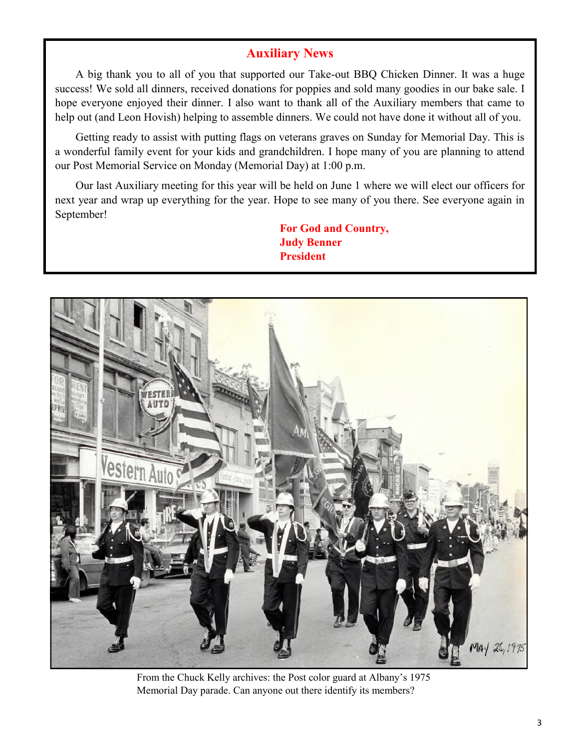#### **Auxiliary News**

A big thank you to all of you that supported our Take-out BBQ Chicken Dinner. It was a huge success! We sold all dinners, received donations for poppies and sold many goodies in our bake sale. I hope everyone enjoyed their dinner. I also want to thank all of the Auxiliary members that came to help out (and Leon Hovish) helping to assemble dinners. We could not have done it without all of you.

Getting ready to assist with putting flags on veterans graves on Sunday for Memorial Day. This is a wonderful family event for your kids and grandchildren. I hope many of you are planning to attend our Post Memorial Service on Monday (Memorial Day) at 1:00 p.m.

Our last Auxiliary meeting for this year will be held on June 1 where we will elect our officers for next year and wrap up everything for the year. Hope to see many of you there. See everyone again in September!

> **For God and Country, Judy Benner President**



From the Chuck Kelly archives: the Post color guard at Albany's 1975 Memorial Day parade. Can anyone out there identify its members?